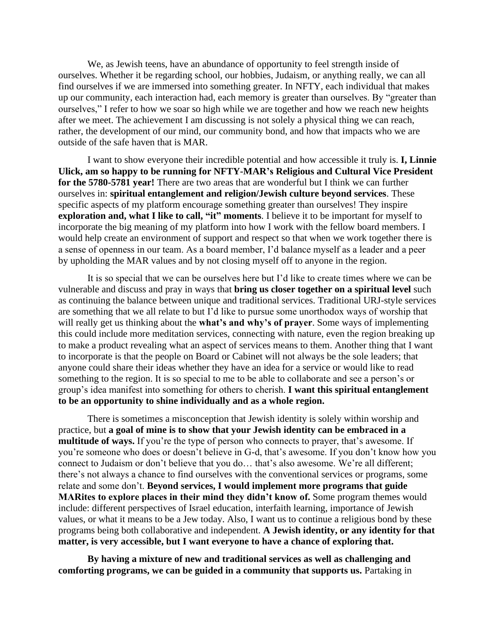We, as Jewish teens, have an abundance of opportunity to feel strength inside of ourselves. Whether it be regarding school, our hobbies, Judaism, or anything really, we can all find ourselves if we are immersed into something greater. In NFTY, each individual that makes up our community, each interaction had, each memory is greater than ourselves. By "greater than ourselves," I refer to how we soar so high while we are together and how we reach new heights after we meet. The achievement I am discussing is not solely a physical thing we can reach, rather, the development of our mind, our community bond, and how that impacts who we are outside of the safe haven that is MAR.

I want to show everyone their incredible potential and how accessible it truly is. **I, Linnie Ulick, am so happy to be running for NFTY-MAR's Religious and Cultural Vice President for the 5780-5781 year!** There are two areas that are wonderful but I think we can further ourselves in: **spiritual entanglement and religion/Jewish culture beyond services**. These specific aspects of my platform encourage something greater than ourselves! They inspire **exploration and, what I like to call, "it" moments**. I believe it to be important for myself to incorporate the big meaning of my platform into how I work with the fellow board members. I would help create an environment of support and respect so that when we work together there is a sense of openness in our team. As a board member, I'd balance myself as a leader and a peer by upholding the MAR values and by not closing myself off to anyone in the region.

It is so special that we can be ourselves here but I'd like to create times where we can be vulnerable and discuss and pray in ways that **bring us closer together on a spiritual level** such as continuing the balance between unique and traditional services. Traditional URJ-style services are something that we all relate to but I'd like to pursue some unorthodox ways of worship that will really get us thinking about the **what's and why's of prayer**. Some ways of implementing this could include more meditation services, connecting with nature, even the region breaking up to make a product revealing what an aspect of services means to them. Another thing that I want to incorporate is that the people on Board or Cabinet will not always be the sole leaders; that anyone could share their ideas whether they have an idea for a service or would like to read something to the region. It is so special to me to be able to collaborate and see a person's or group's idea manifest into something for others to cherish. **I want this spiritual entanglement to be an opportunity to shine individually and as a whole region.**

There is sometimes a misconception that Jewish identity is solely within worship and practice, but **a goal of mine is to show that your Jewish identity can be embraced in a multitude of ways.** If you're the type of person who connects to prayer, that's awesome. If you're someone who does or doesn't believe in G-d, that's awesome. If you don't know how you connect to Judaism or don't believe that you do… that's also awesome. We're all different; there's not always a chance to find ourselves with the conventional services or programs, some relate and some don't. **Beyond services, I would implement more programs that guide MARites to explore places in their mind they didn't know of.** Some program themes would include: different perspectives of Israel education, interfaith learning, importance of Jewish values, or what it means to be a Jew today. Also, I want us to continue a religious bond by these programs being both collaborative and independent. **A Jewish identity, or any identity for that matter, is very accessible, but I want everyone to have a chance of exploring that.**

**By having a mixture of new and traditional services as well as challenging and comforting programs, we can be guided in a community that supports us.** Partaking in